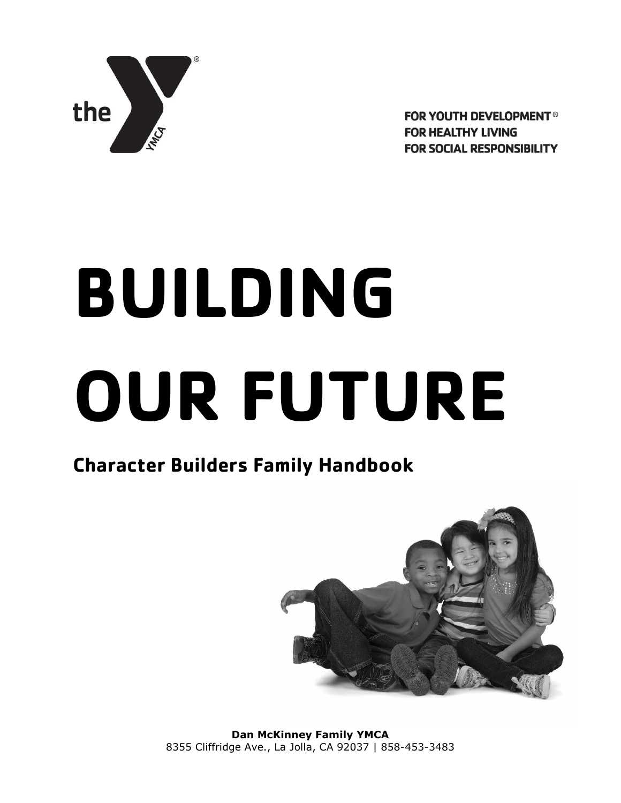

**FOR YOUTH DEVELOPMENT® FOR HEALTHY LIVING FOR SOCIAL RESPONSIBILITY** 

# **BUILDING OUR FUTURE**

# **Character Builders Family Handbook**



**Dan McKinney Family YMCA** 8355 Cliffridge Ave., La Jolla, CA 92037 | 858-453-3483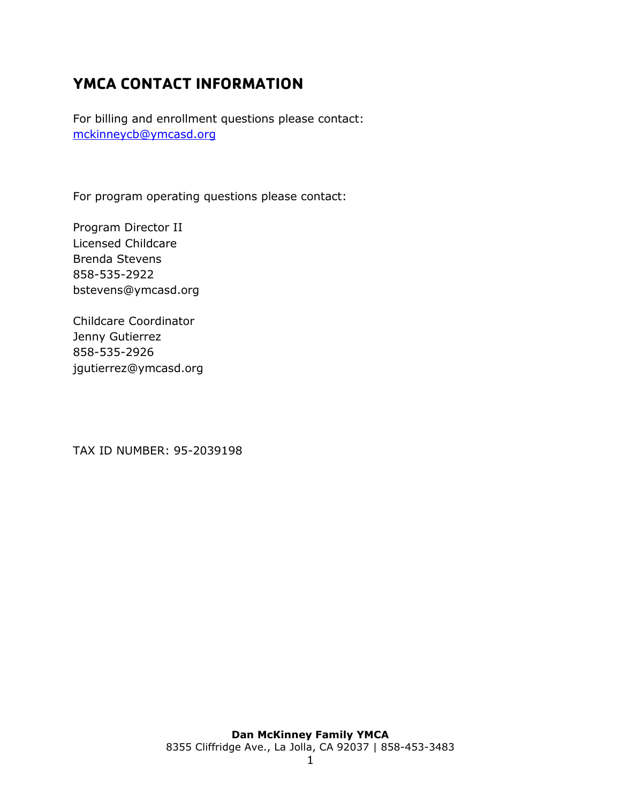## <span id="page-1-0"></span>**YMCA CONTACT INFORMATION**

For billing and enrollment questions please contact: [mckinneycb@ymcasd.org](mailto:mckinneycb@ymcasd.org)

For program operating questions please contact:

Program Director II Licensed Childcare Brenda Stevens 858-535-2922 bstevens@ymcasd.org

Childcare Coordinator Jenny Gutierrez 858-535-2926 jgutierrez@ymcasd.org

TAX ID NUMBER: 95-2039198

## **Dan McKinney Family YMCA**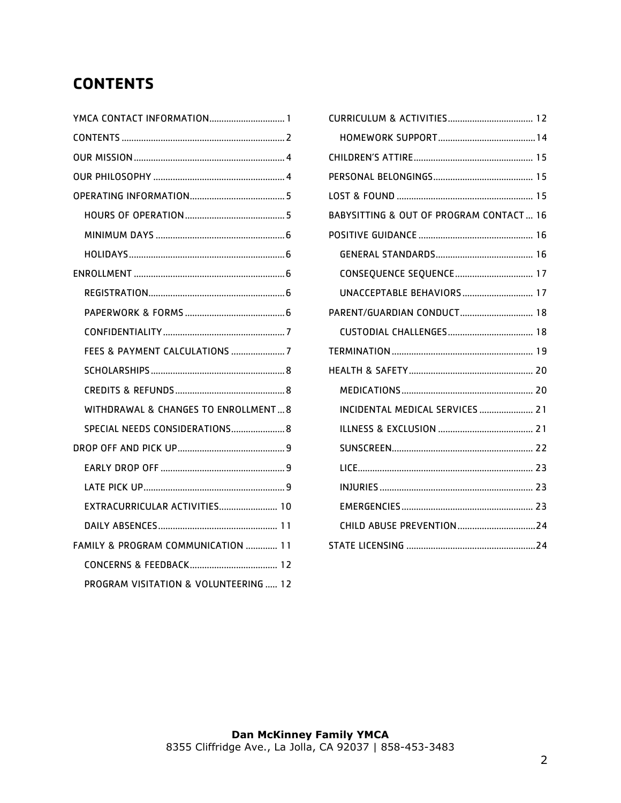# <span id="page-2-0"></span>**CONTENTS**

| YMCA CONTACT INFORMATION 1            |
|---------------------------------------|
|                                       |
|                                       |
|                                       |
|                                       |
|                                       |
|                                       |
|                                       |
|                                       |
|                                       |
|                                       |
|                                       |
| FEES & PAYMENT CALCULATIONS 7         |
|                                       |
|                                       |
| WITHDRAWAL & CHANGES TO ENROLLMENT 8  |
| SPECIAL NEEDS CONSIDERATIONS 8        |
|                                       |
|                                       |
|                                       |
| EXTRACURRICULAR ACTIVITIES 10         |
|                                       |
| FAMILY & PROGRAM COMMUNICATION  11    |
|                                       |
| PROGRAM VISITATION & VOLUNTEERING  12 |

| BABYSITTING & OUT OF PROGRAM CONTACT 16 |  |
|-----------------------------------------|--|
|                                         |  |
|                                         |  |
| CONSEQUENCE SEQUENCE 17                 |  |
| UNACCEPTABLE BEHAVIORS 17               |  |
| PARENT/GUARDIAN CONDUCT 18              |  |
|                                         |  |
|                                         |  |
|                                         |  |
|                                         |  |
| INCIDENTAL MEDICAL SERVICES  21         |  |
|                                         |  |
|                                         |  |
|                                         |  |
|                                         |  |
|                                         |  |
| CHILD ABUSE PREVENTION24                |  |
|                                         |  |
|                                         |  |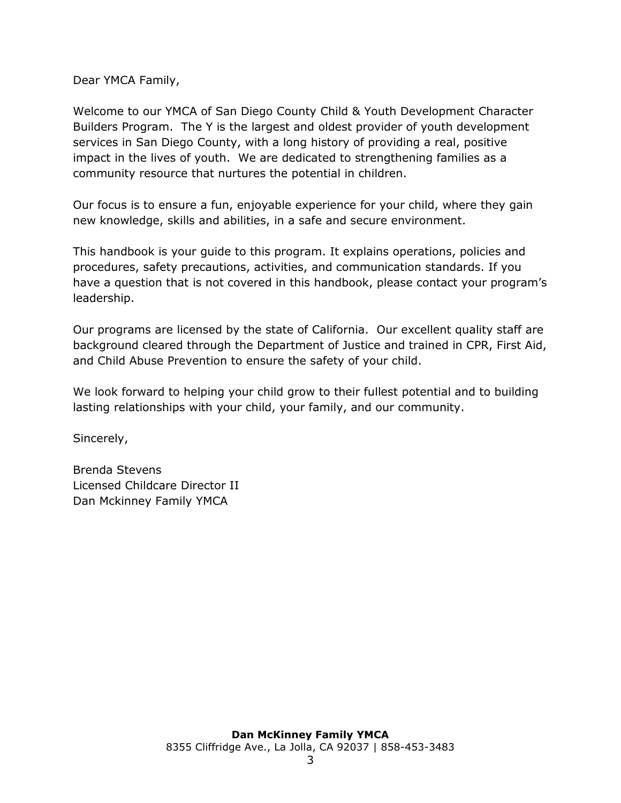Dear YMCA Family,

Welcome to our YMCA of San Diego County Child & Youth Development Character Builders Program. The Y is the largest and oldest provider of youth development services in San Diego County, with a long history of providing a real, positive impact in the lives of youth. We are dedicated to strengthening families as a community resource that nurtures the potential in children.

Our focus is to ensure a fun, enjoyable experience for your child, where they gain new knowledge, skills and abilities, in a safe and secure environment.

This handbook is your guide to this program. It explains operations, policies and procedures, safety precautions, activities, and communication standards. If you have a question that is not covered in this handbook, please contact your program's leadership.

Our programs are licensed by the state of California. Our excellent quality staff are background cleared through the Department of Justice and trained in CPR, First Aid, and Child Abuse Prevention to ensure the safety of your child.

We look forward to helping your child grow to their fullest potential and to building lasting relationships with your child, your family, and our community.

Sincerely,

Brenda Stevens Licensed Childcare Director II Dan Mckinney Family YMCA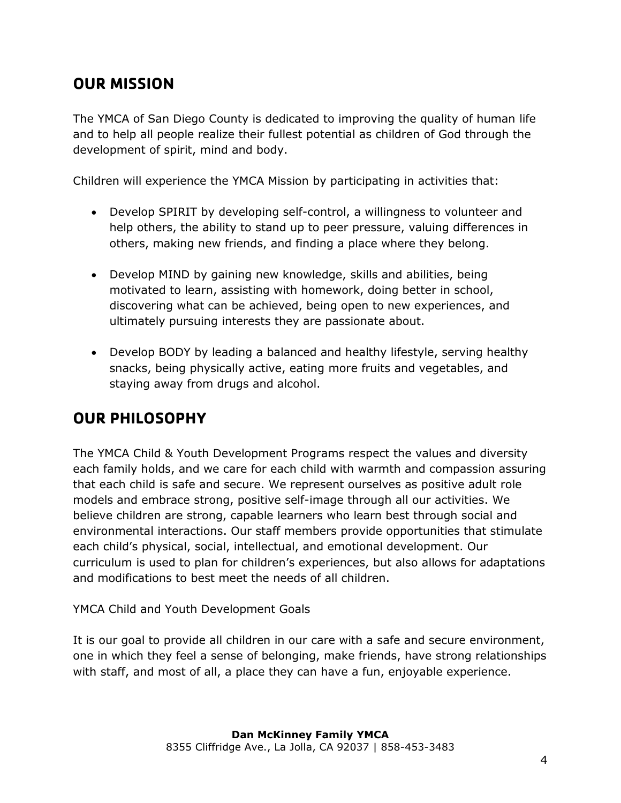## <span id="page-4-0"></span>**OUR MISSION**

The YMCA of San Diego County is dedicated to improving the quality of human life and to help all people realize their fullest potential as children of God through the development of spirit, mind and body.

Children will experience the YMCA Mission by participating in activities that:

- Develop SPIRIT by developing self-control, a willingness to volunteer and help others, the ability to stand up to peer pressure, valuing differences in others, making new friends, and finding a place where they belong.
- Develop MIND by gaining new knowledge, skills and abilities, being motivated to learn, assisting with homework, doing better in school, discovering what can be achieved, being open to new experiences, and ultimately pursuing interests they are passionate about.
- Develop BODY by leading a balanced and healthy lifestyle, serving healthy snacks, being physically active, eating more fruits and vegetables, and staying away from drugs and alcohol.

## <span id="page-4-1"></span>**OUR PHILOSOPHY**

The YMCA Child & Youth Development Programs respect the values and diversity each family holds, and we care for each child with warmth and compassion assuring that each child is safe and secure. We represent ourselves as positive adult role models and embrace strong, positive self-image through all our activities. We believe children are strong, capable learners who learn best through social and environmental interactions. Our staff members provide opportunities that stimulate each child's physical, social, intellectual, and emotional development. Our curriculum is used to plan for children's experiences, but also allows for adaptations and modifications to best meet the needs of all children.

YMCA Child and Youth Development Goals

It is our goal to provide all children in our care with a safe and secure environment, one in which they feel a sense of belonging, make friends, have strong relationships with staff, and most of all, a place they can have a fun, enjoyable experience.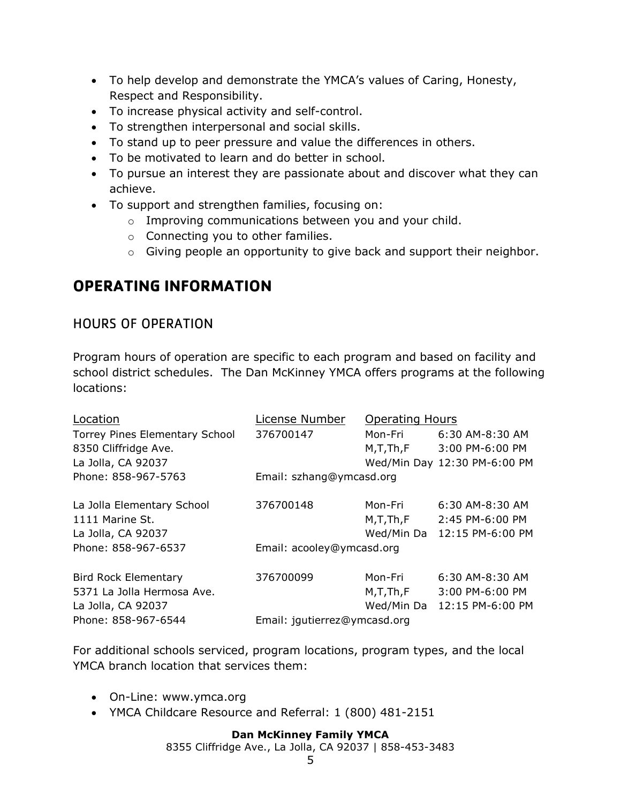- To help develop and demonstrate the YMCA's values of Caring, Honesty, Respect and Responsibility.
- To increase physical activity and self-control.
- To strengthen interpersonal and social skills.
- To stand up to peer pressure and value the differences in others.
- To be motivated to learn and do better in school.
- To pursue an interest they are passionate about and discover what they can achieve.
- To support and strengthen families, focusing on:
	- o Improving communications between you and your child.
	- o Connecting you to other families.
	- o Giving people an opportunity to give back and support their neighbor.

## <span id="page-5-0"></span>**OPERATING INFORMATION**

#### <span id="page-5-1"></span>HOURS OF OPERATION

Program hours of operation are specific to each program and based on facility and school district schedules. The Dan McKinney YMCA offers programs at the following locations:

| Location                              | License Number               | <b>Operating Hours</b> |                              |  |
|---------------------------------------|------------------------------|------------------------|------------------------------|--|
| <b>Torrey Pines Elementary School</b> | 376700147                    | Mon-Fri                | 6:30 AM-8:30 AM              |  |
| 8350 Cliffridge Ave.                  |                              | M,T,Th,F               | 3:00 PM-6:00 PM              |  |
| La Jolla, CA 92037                    |                              |                        | Wed/Min Day 12:30 PM-6:00 PM |  |
| Phone: 858-967-5763                   | Email: szhang@ymcasd.org     |                        |                              |  |
| La Jolla Elementary School            | 376700148                    | Mon-Fri                | $6:30$ AM-8:30 AM            |  |
| 1111 Marine St.                       |                              | M, T, Th, F            | 2:45 PM-6:00 PM              |  |
| La Jolla, CA 92037                    |                              |                        | Wed/Min Da 12:15 PM-6:00 PM  |  |
| Phone: 858-967-6537                   | Email: acooley@ymcasd.org    |                        |                              |  |
| <b>Bird Rock Elementary</b>           | 376700099                    | Mon-Fri                | $6:30$ AM-8:30 AM            |  |
| 5371 La Jolla Hermosa Ave.            |                              | M, T, Th, F            | 3:00 PM-6:00 PM              |  |
| La Jolla, CA 92037                    |                              | Wed/Min Da             | 12:15 PM-6:00 PM             |  |
| Phone: 858-967-6544                   | Email: jqutierrez@ymcasd.org |                        |                              |  |

For additional schools serviced, program locations, program types, and the local YMCA branch location that services them:

- On-Line: [www.ymca.org](http://www.ymca.org/)
- YMCA Childcare Resource and Referral: 1 (800) 481-2151

#### **Dan McKinney Family YMCA**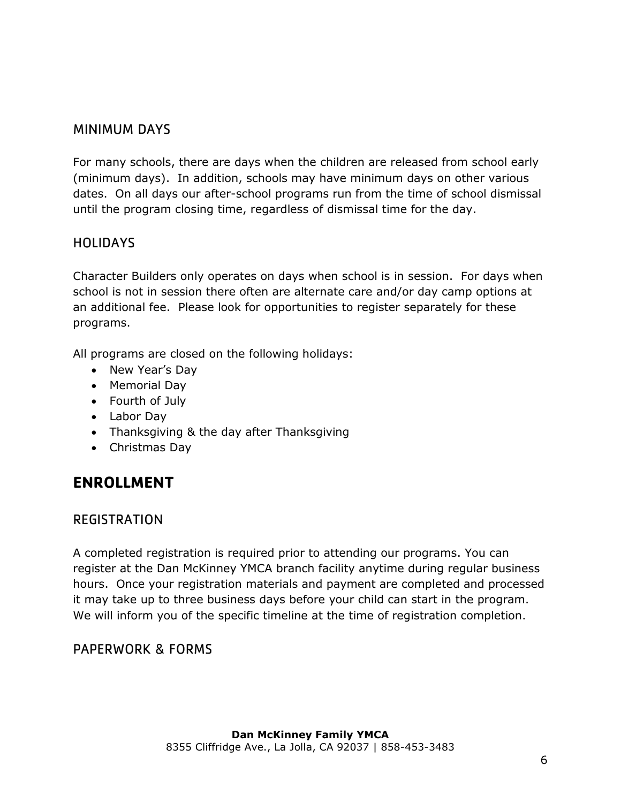#### <span id="page-6-0"></span>MINIMUM DAYS

For many schools, there are days when the children are released from school early (minimum days). In addition, schools may have minimum days on other various dates. On all days our after-school programs run from the time of school dismissal until the program closing time, regardless of dismissal time for the day.

#### <span id="page-6-1"></span>**HOLIDAYS**

Character Builders only operates on days when school is in session. For days when school is not in session there often are alternate care and/or day camp options at an additional fee. Please look for opportunities to register separately for these programs.

All programs are closed on the following holidays:

- New Year's Day
- Memorial Day
- Fourth of July
- Labor Day
- Thanksgiving & the day after Thanksgiving
- Christmas Day

## <span id="page-6-2"></span>**ENROLLMENT**

#### <span id="page-6-3"></span>REGISTRATION

A completed registration is required prior to attending our programs. You can register at the Dan McKinney YMCA branch facility anytime during regular business hours. Once your registration materials and payment are completed and processed it may take up to three business days before your child can start in the program. We will inform you of the specific timeline at the time of registration completion.

#### <span id="page-6-4"></span>PAPERWORK & FORMS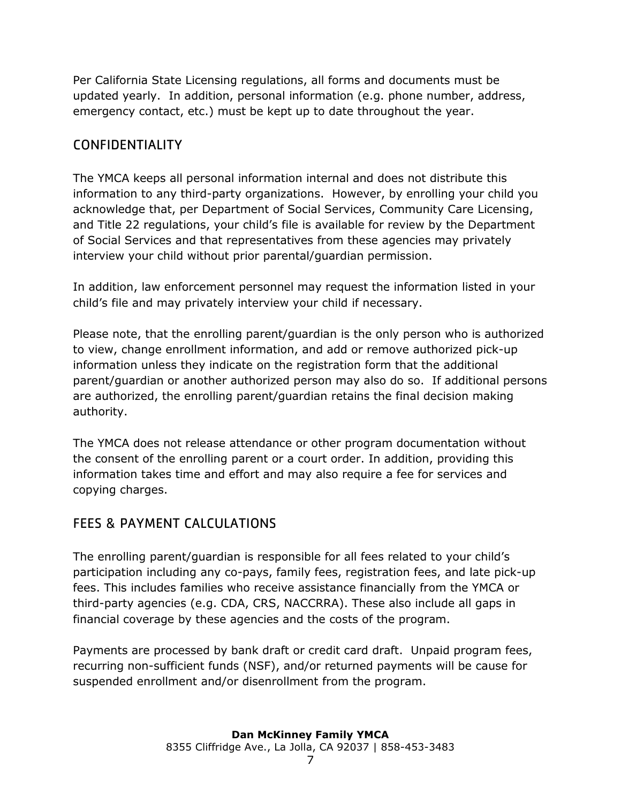Per California State Licensing regulations, all forms and documents must be updated yearly. In addition, personal information (e.g. phone number, address, emergency contact, etc.) must be kept up to date throughout the year.

## <span id="page-7-0"></span>CONFIDENTIALITY

The YMCA keeps all personal information internal and does not distribute this information to any third-party organizations. However, by enrolling your child you acknowledge that, per Department of Social Services, Community Care Licensing, and Title 22 regulations, your child's file is available for review by the Department of Social Services and that representatives from these agencies may privately interview your child without prior parental/guardian permission.

In addition, law enforcement personnel may request the information listed in your child's file and may privately interview your child if necessary.

Please note, that the enrolling parent/guardian is the only person who is authorized to view, change enrollment information, and add or remove authorized pick-up information unless they indicate on the registration form that the additional parent/guardian or another authorized person may also do so. If additional persons are authorized, the enrolling parent/guardian retains the final decision making authority.

The YMCA does not release attendance or other program documentation without the consent of the enrolling parent or a court order. In addition, providing this information takes time and effort and may also require a fee for services and copying charges.

## <span id="page-7-1"></span>FEES & PAYMENT CALCULATIONS

The enrolling parent/guardian is responsible for all fees related to your child's participation including any co-pays, family fees, registration fees, and late pick-up fees. This includes families who receive assistance financially from the YMCA or third-party agencies (e.g. CDA, CRS, NACCRRA). These also include all gaps in financial coverage by these agencies and the costs of the program.

Payments are processed by bank draft or credit card draft. Unpaid program fees, recurring non-sufficient funds (NSF), and/or returned payments will be cause for suspended enrollment and/or disenrollment from the program.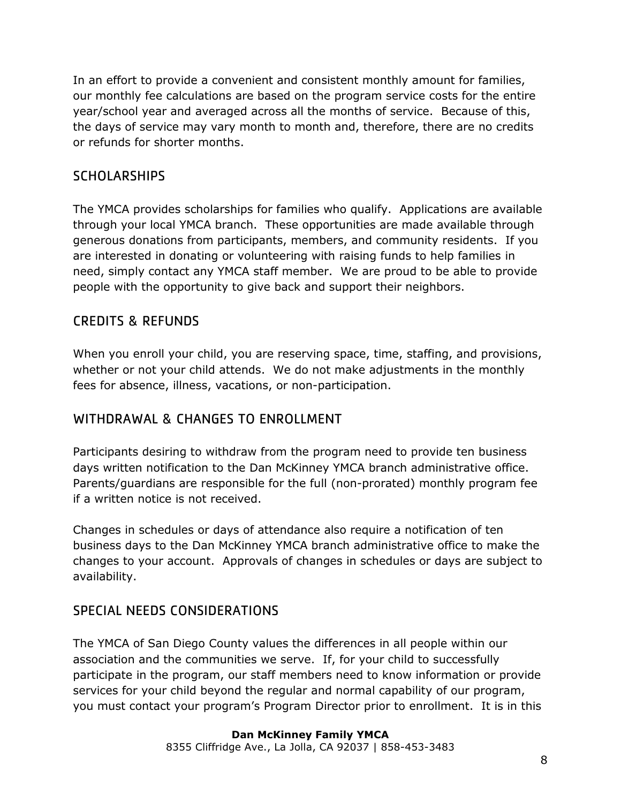In an effort to provide a convenient and consistent monthly amount for families, our monthly fee calculations are based on the program service costs for the entire year/school year and averaged across all the months of service. Because of this, the days of service may vary month to month and, therefore, there are no credits or refunds for shorter months.

#### <span id="page-8-0"></span>**SCHOLARSHIPS**

The YMCA provides scholarships for families who qualify. Applications are available through your local YMCA branch. These opportunities are made available through generous donations from participants, members, and community residents. If you are interested in donating or volunteering with raising funds to help families in need, simply contact any YMCA staff member. We are proud to be able to provide people with the opportunity to give back and support their neighbors.

#### <span id="page-8-1"></span>CREDITS & REFUNDS

When you enroll your child, you are reserving space, time, staffing, and provisions, whether or not your child attends. We do not make adjustments in the monthly fees for absence, illness, vacations, or non-participation.

## <span id="page-8-2"></span>WITHDRAWAL & CHANGES TO ENROLLMENT

Participants desiring to withdraw from the program need to provide ten business days written notification to the Dan McKinney YMCA branch administrative office. Parents/guardians are responsible for the full (non-prorated) monthly program fee if a written notice is not received.

Changes in schedules or days of attendance also require a notification of ten business days to the Dan McKinney YMCA branch administrative office to make the changes to your account. Approvals of changes in schedules or days are subject to availability.

## <span id="page-8-3"></span>SPECIAL NEEDS CONSIDERATIONS

The YMCA of San Diego County values the differences in all people within our association and the communities we serve. If, for your child to successfully participate in the program, our staff members need to know information or provide services for your child beyond the regular and normal capability of our program, you must contact your program's Program Director prior to enrollment. It is in this

#### **Dan McKinney Family YMCA**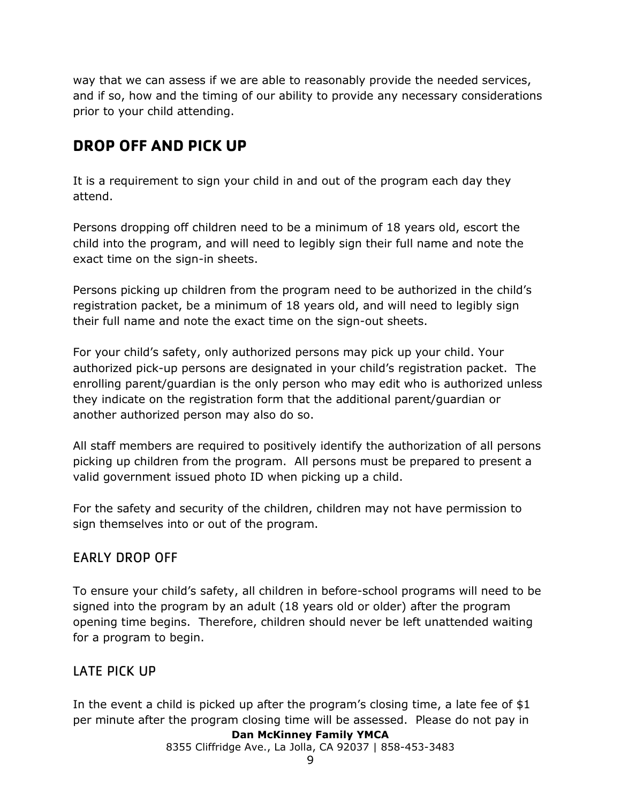way that we can assess if we are able to reasonably provide the needed services, and if so, how and the timing of our ability to provide any necessary considerations prior to your child attending.

# <span id="page-9-0"></span>**DROP OFF AND PICK UP**

It is a requirement to sign your child in and out of the program each day they attend.

Persons dropping off children need to be a minimum of 18 years old, escort the child into the program, and will need to legibly sign their full name and note the exact time on the sign-in sheets.

Persons picking up children from the program need to be authorized in the child's registration packet, be a minimum of 18 years old, and will need to legibly sign their full name and note the exact time on the sign-out sheets.

For your child's safety, only authorized persons may pick up your child. Your authorized pick-up persons are designated in your child's registration packet. The enrolling parent/guardian is the only person who may edit who is authorized unless they indicate on the registration form that the additional parent/guardian or another authorized person may also do so.

All staff members are required to positively identify the authorization of all persons picking up children from the program. All persons must be prepared to present a valid government issued photo ID when picking up a child.

For the safety and security of the children, children may not have permission to sign themselves into or out of the program.

## <span id="page-9-1"></span>EARLY DROP OFF

To ensure your child's safety, all children in before-school programs will need to be signed into the program by an adult (18 years old or older) after the program opening time begins. Therefore, children should never be left unattended waiting for a program to begin.

## <span id="page-9-2"></span>LATE PICK UP

In the event a child is picked up after the program's closing time, a late fee of \$1 per minute after the program closing time will be assessed. Please do not pay in

#### **Dan McKinney Family YMCA**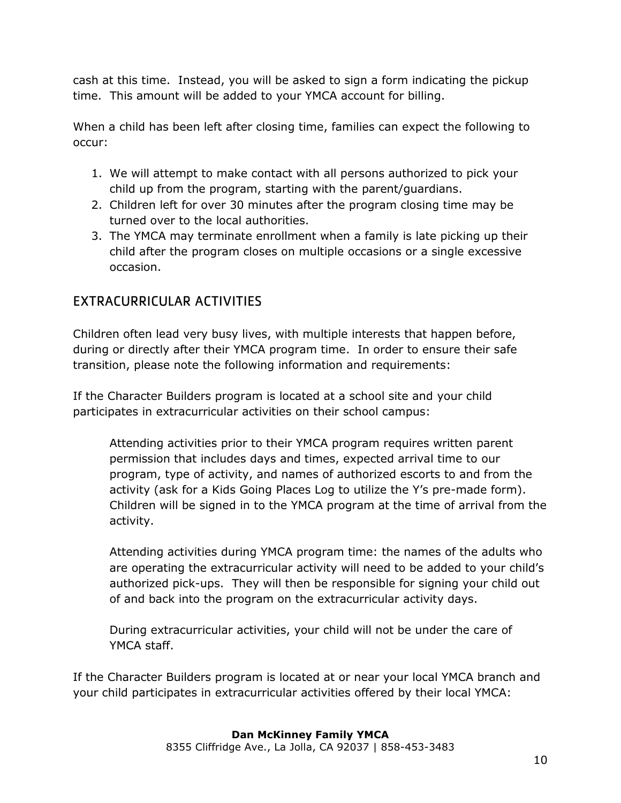cash at this time. Instead, you will be asked to sign a form indicating the pickup time. This amount will be added to your YMCA account for billing.

When a child has been left after closing time, families can expect the following to occur:

- 1. We will attempt to make contact with all persons authorized to pick your child up from the program, starting with the parent/guardians.
- 2. Children left for over 30 minutes after the program closing time may be turned over to the local authorities.
- 3. The YMCA may terminate enrollment when a family is late picking up their child after the program closes on multiple occasions or a single excessive occasion.

## <span id="page-10-0"></span>EXTRACURRICULAR ACTIVITIES

Children often lead very busy lives, with multiple interests that happen before, during or directly after their YMCA program time. In order to ensure their safe transition, please note the following information and requirements:

If the Character Builders program is located at a school site and your child participates in extracurricular activities on their school campus:

Attending activities prior to their YMCA program requires written parent permission that includes days and times, expected arrival time to our program, type of activity, and names of authorized escorts to and from the activity (ask for a Kids Going Places Log to utilize the Y's pre-made form). Children will be signed in to the YMCA program at the time of arrival from the activity.

Attending activities during YMCA program time: the names of the adults who are operating the extracurricular activity will need to be added to your child's authorized pick-ups. They will then be responsible for signing your child out of and back into the program on the extracurricular activity days.

During extracurricular activities, your child will not be under the care of YMCA staff.

If the Character Builders program is located at or near your local YMCA branch and your child participates in extracurricular activities offered by their local YMCA: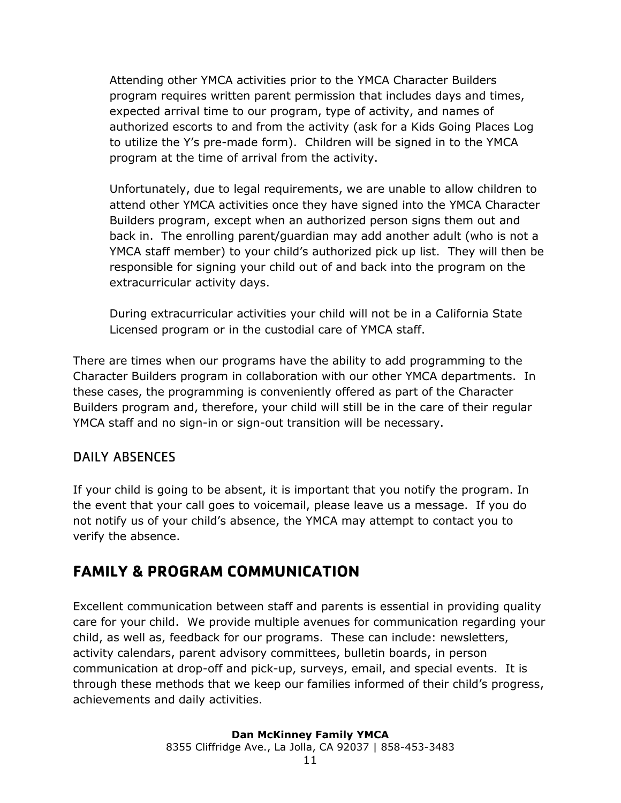Attending other YMCA activities prior to the YMCA Character Builders program requires written parent permission that includes days and times, expected arrival time to our program, type of activity, and names of authorized escorts to and from the activity (ask for a Kids Going Places Log to utilize the Y's pre-made form). Children will be signed in to the YMCA program at the time of arrival from the activity.

Unfortunately, due to legal requirements, we are unable to allow children to attend other YMCA activities once they have signed into the YMCA Character Builders program, except when an authorized person signs them out and back in. The enrolling parent/guardian may add another adult (who is not a YMCA staff member) to your child's authorized pick up list. They will then be responsible for signing your child out of and back into the program on the extracurricular activity days.

During extracurricular activities your child will not be in a California State Licensed program or in the custodial care of YMCA staff.

There are times when our programs have the ability to add programming to the Character Builders program in collaboration with our other YMCA departments. In these cases, the programming is conveniently offered as part of the Character Builders program and, therefore, your child will still be in the care of their regular YMCA staff and no sign-in or sign-out transition will be necessary.

#### <span id="page-11-0"></span>DAILY ABSENCES

If your child is going to be absent, it is important that you notify the program. In the event that your call goes to voicemail, please leave us a message. If you do not notify us of your child's absence, the YMCA may attempt to contact you to verify the absence.

## <span id="page-11-1"></span>**FAMILY & PROGRAM COMMUNICATION**

Excellent communication between staff and parents is essential in providing quality care for your child. We provide multiple avenues for communication regarding your child, as well as, feedback for our programs. These can include: newsletters, activity calendars, parent advisory committees, bulletin boards, in person communication at drop-off and pick-up, surveys, email, and special events. It is through these methods that we keep our families informed of their child's progress, achievements and daily activities.

#### **Dan McKinney Family YMCA**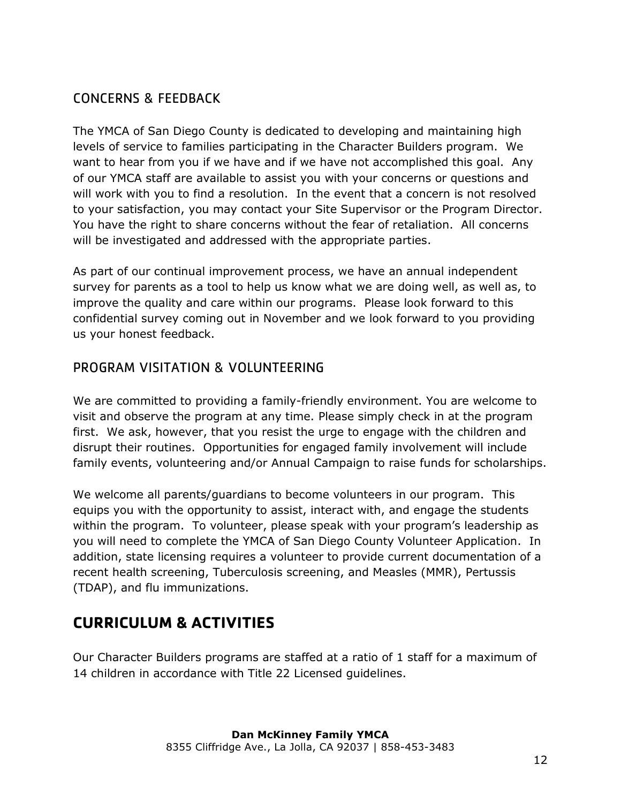## <span id="page-12-0"></span>CONCERNS & FEEDBACK

The YMCA of San Diego County is dedicated to developing and maintaining high levels of service to families participating in the Character Builders program. We want to hear from you if we have and if we have not accomplished this goal. Any of our YMCA staff are available to assist you with your concerns or questions and will work with you to find a resolution. In the event that a concern is not resolved to your satisfaction, you may contact your Site Supervisor or the Program Director. You have the right to share concerns without the fear of retaliation. All concerns will be investigated and addressed with the appropriate parties.

As part of our continual improvement process, we have an annual independent survey for parents as a tool to help us know what we are doing well, as well as, to improve the quality and care within our programs. Please look forward to this confidential survey coming out in November and we look forward to you providing us your honest feedback.

#### <span id="page-12-1"></span>PROGRAM VISITATION & VOLUNTEERING

We are committed to providing a family-friendly environment. You are welcome to visit and observe the program at any time. Please simply check in at the program first. We ask, however, that you resist the urge to engage with the children and disrupt their routines. Opportunities for engaged family involvement will include family events, volunteering and/or Annual Campaign to raise funds for scholarships.

We welcome all parents/guardians to become volunteers in our program. This equips you with the opportunity to assist, interact with, and engage the students within the program. To volunteer, please speak with your program's leadership as you will need to complete the YMCA of San Diego County Volunteer Application. In addition, state licensing requires a volunteer to provide current documentation of a recent health screening, Tuberculosis screening, and Measles (MMR), Pertussis (TDAP), and flu immunizations.

# <span id="page-12-2"></span>**CURRICULUM & ACTIVITIES**

Our Character Builders programs are staffed at a ratio of 1 staff for a maximum of 14 children in accordance with Title 22 Licensed guidelines.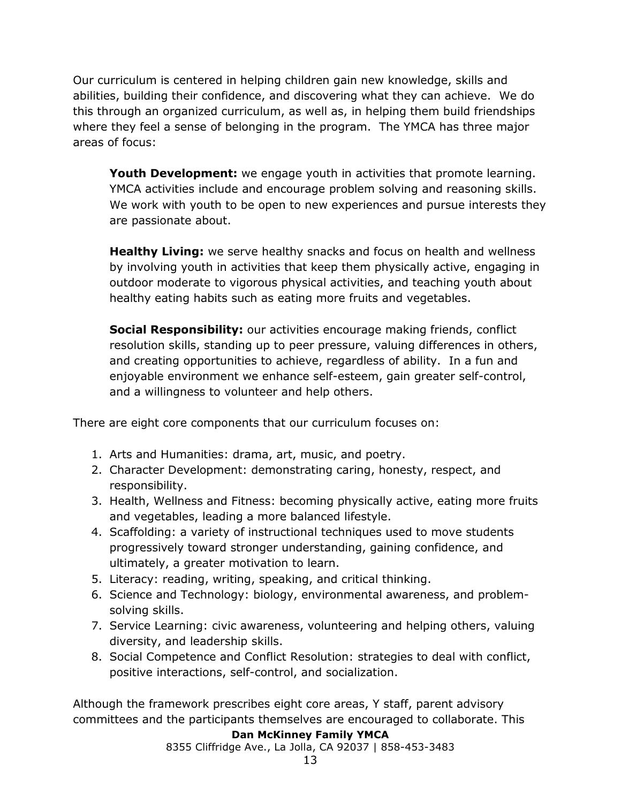Our curriculum is centered in helping children gain new knowledge, skills and abilities, building their confidence, and discovering what they can achieve. We do this through an organized curriculum, as well as, in helping them build friendships where they feel a sense of belonging in the program. The YMCA has three major areas of focus:

**Youth Development:** we engage youth in activities that promote learning. YMCA activities include and encourage problem solving and reasoning skills. We work with youth to be open to new experiences and pursue interests they are passionate about.

**Healthy Living:** we serve healthy snacks and focus on health and wellness by involving youth in activities that keep them physically active, engaging in outdoor moderate to vigorous physical activities, and teaching youth about healthy eating habits such as eating more fruits and vegetables.

**Social Responsibility:** our activities encourage making friends, conflict resolution skills, standing up to peer pressure, valuing differences in others, and creating opportunities to achieve, regardless of ability. In a fun and enjoyable environment we enhance self-esteem, gain greater self-control, and a willingness to volunteer and help others.

There are eight core components that our curriculum focuses on:

- 1. Arts and Humanities: drama, art, music, and poetry.
- 2. Character Development: demonstrating caring, honesty, respect, and responsibility.
- 3. Health, Wellness and Fitness: becoming physically active, eating more fruits and vegetables, leading a more balanced lifestyle.
- 4. Scaffolding: a variety of instructional techniques used to move students progressively toward stronger understanding, gaining confidence, and ultimately, a greater motivation to learn.
- 5. Literacy: reading, writing, speaking, and critical thinking.
- 6. Science and Technology: biology, environmental awareness, and problemsolving skills.
- 7. Service Learning: civic awareness, volunteering and helping others, valuing diversity, and leadership skills.
- 8. Social Competence and Conflict Resolution: strategies to deal with conflict, positive interactions, self-control, and socialization.

Although the framework prescribes eight core areas, Y staff, parent advisory committees and the participants themselves are encouraged to collaborate. This

#### **Dan McKinney Family YMCA**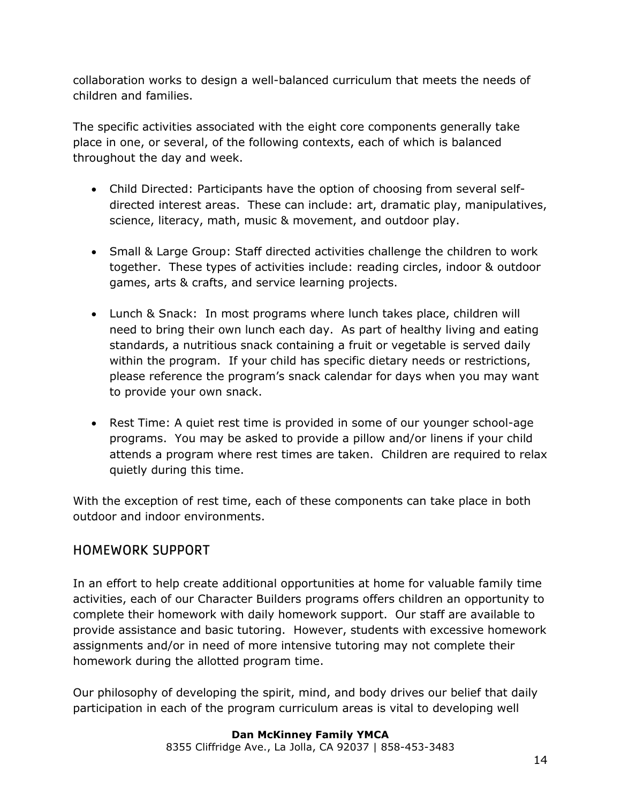collaboration works to design a well-balanced curriculum that meets the needs of children and families.

The specific activities associated with the eight core components generally take place in one, or several, of the following contexts, each of which is balanced throughout the day and week.

- Child Directed: Participants have the option of choosing from several selfdirected interest areas. These can include: art, dramatic play, manipulatives, science, literacy, math, music & movement, and outdoor play.
- Small & Large Group: Staff directed activities challenge the children to work together. These types of activities include: reading circles, indoor & outdoor games, arts & crafts, and service learning projects.
- Lunch & Snack: In most programs where lunch takes place, children will need to bring their own lunch each day. As part of healthy living and eating standards, a nutritious snack containing a fruit or vegetable is served daily within the program. If your child has specific dietary needs or restrictions, please reference the program's snack calendar for days when you may want to provide your own snack.
- Rest Time: A quiet rest time is provided in some of our younger school-age programs. You may be asked to provide a pillow and/or linens if your child attends a program where rest times are taken. Children are required to relax quietly during this time.

With the exception of rest time, each of these components can take place in both outdoor and indoor environments.

## <span id="page-14-0"></span>HOMEWORK SUPPORT

In an effort to help create additional opportunities at home for valuable family time activities, each of our Character Builders programs offers children an opportunity to complete their homework with daily homework support. Our staff are available to provide assistance and basic tutoring. However, students with excessive homework assignments and/or in need of more intensive tutoring may not complete their homework during the allotted program time.

Our philosophy of developing the spirit, mind, and body drives our belief that daily participation in each of the program curriculum areas is vital to developing well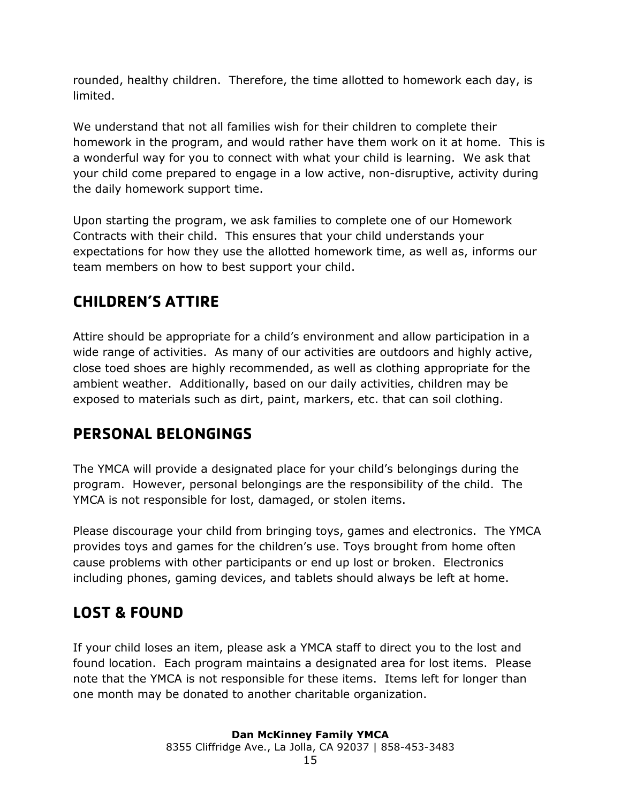rounded, healthy children. Therefore, the time allotted to homework each day, is limited.

We understand that not all families wish for their children to complete their homework in the program, and would rather have them work on it at home. This is a wonderful way for you to connect with what your child is learning. We ask that your child come prepared to engage in a low active, non-disruptive, activity during the daily homework support time.

Upon starting the program, we ask families to complete one of our Homework Contracts with their child. This ensures that your child understands your expectations for how they use the allotted homework time, as well as, informs our team members on how to best support your child.

# <span id="page-15-0"></span>**CHILDREN'S ATTIRE**

Attire should be appropriate for a child's environment and allow participation in a wide range of activities. As many of our activities are outdoors and highly active, close toed shoes are highly recommended, as well as clothing appropriate for the ambient weather. Additionally, based on our daily activities, children may be exposed to materials such as dirt, paint, markers, etc. that can soil clothing.

# <span id="page-15-1"></span>**PERSONAL BELONGINGS**

The YMCA will provide a designated place for your child's belongings during the program. However, personal belongings are the responsibility of the child. The YMCA is not responsible for lost, damaged, or stolen items.

Please discourage your child from bringing toys, games and electronics. The YMCA provides toys and games for the children's use. Toys brought from home often cause problems with other participants or end up lost or broken. Electronics including phones, gaming devices, and tablets should always be left at home.

## <span id="page-15-2"></span>**LOST & FOUND**

If your child loses an item, please ask a YMCA staff to direct you to the lost and found location. Each program maintains a designated area for lost items. Please note that the YMCA is not responsible for these items. Items left for longer than one month may be donated to another charitable organization.

# **Dan McKinney Family YMCA**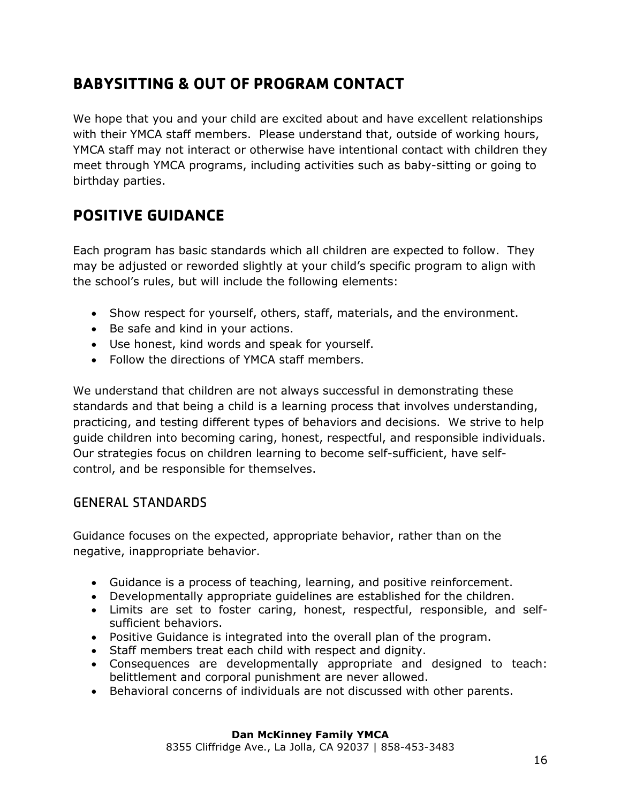# <span id="page-16-0"></span>**BABYSITTING & OUT OF PROGRAM CONTACT**

We hope that you and your child are excited about and have excellent relationships with their YMCA staff members. Please understand that, outside of working hours, YMCA staff may not interact or otherwise have intentional contact with children they meet through YMCA programs, including activities such as baby-sitting or going to birthday parties.

# <span id="page-16-1"></span>**POSITIVE GUIDANCE**

Each program has basic standards which all children are expected to follow. They may be adjusted or reworded slightly at your child's specific program to align with the school's rules, but will include the following elements:

- Show respect for yourself, others, staff, materials, and the environment.
- Be safe and kind in your actions.
- Use honest, kind words and speak for yourself.
- Follow the directions of YMCA staff members.

We understand that children are not always successful in demonstrating these standards and that being a child is a learning process that involves understanding, practicing, and testing different types of behaviors and decisions. We strive to help guide children into becoming caring, honest, respectful, and responsible individuals. Our strategies focus on children learning to become self-sufficient, have selfcontrol, and be responsible for themselves.

#### <span id="page-16-2"></span>GENERAL STANDARDS

Guidance focuses on the expected, appropriate behavior, rather than on the negative, inappropriate behavior.

- Guidance is a process of teaching, learning, and positive reinforcement.
- Developmentally appropriate guidelines are established for the children.
- Limits are set to foster caring, honest, respectful, responsible, and selfsufficient behaviors.
- Positive Guidance is integrated into the overall plan of the program.
- Staff members treat each child with respect and dignity.
- Consequences are developmentally appropriate and designed to teach: belittlement and corporal punishment are never allowed.
- Behavioral concerns of individuals are not discussed with other parents.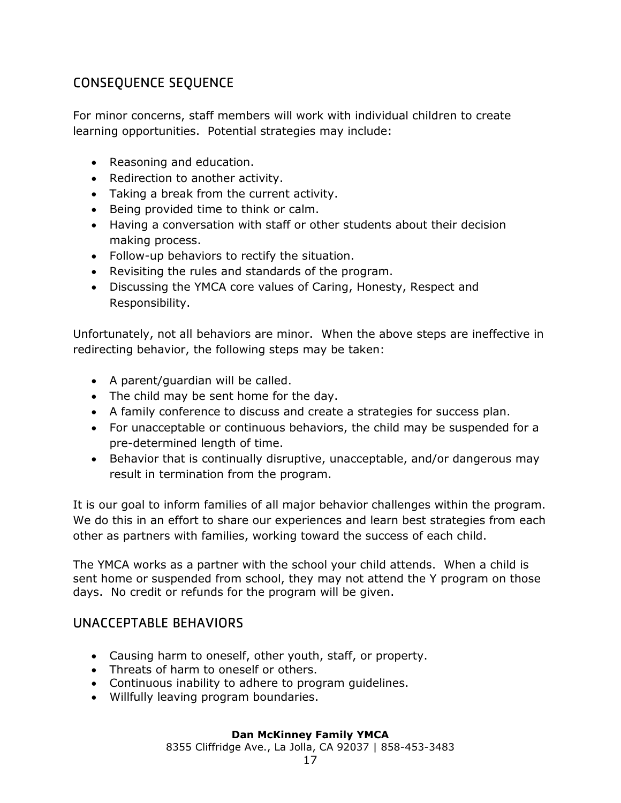## <span id="page-17-0"></span>CONSEQUENCE SEQUENCE

For minor concerns, staff members will work with individual children to create learning opportunities. Potential strategies may include:

- Reasoning and education.
- Redirection to another activity.
- Taking a break from the current activity.
- Being provided time to think or calm.
- Having a conversation with staff or other students about their decision making process.
- Follow-up behaviors to rectify the situation.
- Revisiting the rules and standards of the program.
- Discussing the YMCA core values of Caring, Honesty, Respect and Responsibility.

Unfortunately, not all behaviors are minor. When the above steps are ineffective in redirecting behavior, the following steps may be taken:

- A parent/guardian will be called.
- The child may be sent home for the day.
- A family conference to discuss and create a strategies for success plan.
- For unacceptable or continuous behaviors, the child may be suspended for a pre-determined length of time.
- Behavior that is continually disruptive, unacceptable, and/or dangerous may result in termination from the program.

It is our goal to inform families of all major behavior challenges within the program. We do this in an effort to share our experiences and learn best strategies from each other as partners with families, working toward the success of each child.

The YMCA works as a partner with the school your child attends. When a child is sent home or suspended from school, they may not attend the Y program on those days. No credit or refunds for the program will be given.

#### <span id="page-17-1"></span>UNACCEPTABLE BEHAVIORS

- Causing harm to oneself, other youth, staff, or property.
- Threats of harm to oneself or others.
- Continuous inability to adhere to program guidelines.
- Willfully leaving program boundaries.

#### **Dan McKinney Family YMCA**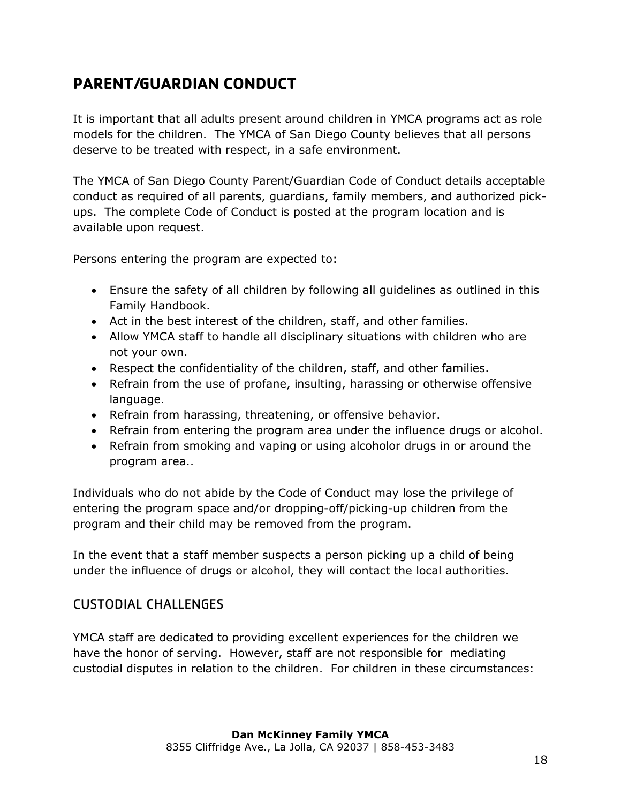# <span id="page-18-0"></span>**PARENT/GUARDIAN CONDUCT**

It is important that all adults present around children in YMCA programs act as role models for the children. The YMCA of San Diego County believes that all persons deserve to be treated with respect, in a safe environment.

The YMCA of San Diego County Parent/Guardian Code of Conduct details acceptable conduct as required of all parents, guardians, family members, and authorized pickups. The complete Code of Conduct is posted at the program location and is available upon request.

Persons entering the program are expected to:

- Ensure the safety of all children by following all guidelines as outlined in this Family Handbook.
- Act in the best interest of the children, staff, and other families.
- Allow YMCA staff to handle all disciplinary situations with children who are not your own.
- Respect the confidentiality of the children, staff, and other families.
- Refrain from the use of profane, insulting, harassing or otherwise offensive language.
- Refrain from harassing, threatening, or offensive behavior.
- Refrain from entering the program area under the influence drugs or alcohol.
- Refrain from smoking and vaping or using alcoholor drugs in or around the program area..

Individuals who do not abide by the Code of Conduct may lose the privilege of entering the program space and/or dropping-off/picking-up children from the program and their child may be removed from the program.

In the event that a staff member suspects a person picking up a child of being under the influence of drugs or alcohol, they will contact the local authorities.

#### <span id="page-18-1"></span>CUSTODIAL CHALLENGES

YMCA staff are dedicated to providing excellent experiences for the children we have the honor of serving. However, staff are not responsible for mediating custodial disputes in relation to the children. For children in these circumstances: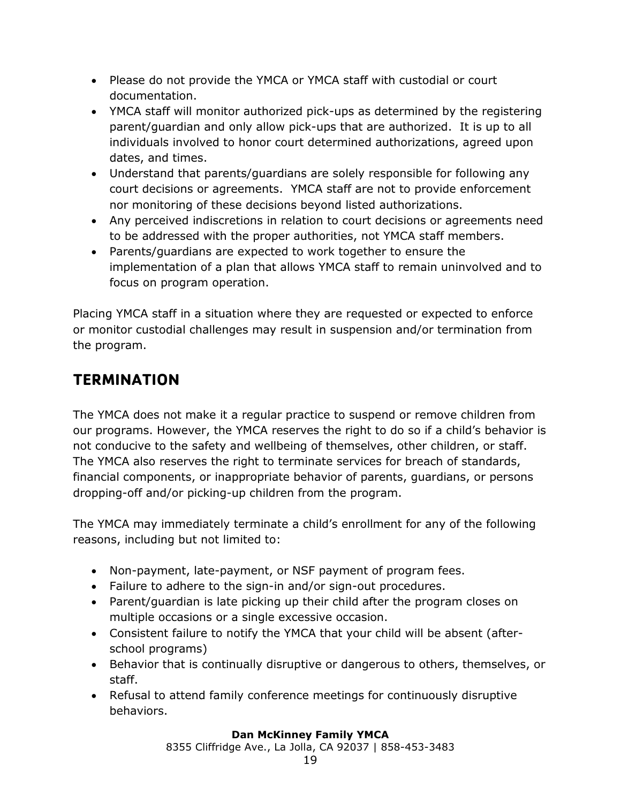- Please do not provide the YMCA or YMCA staff with custodial or court documentation.
- YMCA staff will monitor authorized pick-ups as determined by the registering parent/guardian and only allow pick-ups that are authorized. It is up to all individuals involved to honor court determined authorizations, agreed upon dates, and times.
- Understand that parents/guardians are solely responsible for following any court decisions or agreements. YMCA staff are not to provide enforcement nor monitoring of these decisions beyond listed authorizations.
- Any perceived indiscretions in relation to court decisions or agreements need to be addressed with the proper authorities, not YMCA staff members.
- Parents/guardians are expected to work together to ensure the implementation of a plan that allows YMCA staff to remain uninvolved and to focus on program operation.

Placing YMCA staff in a situation where they are requested or expected to enforce or monitor custodial challenges may result in suspension and/or termination from the program.

# <span id="page-19-0"></span>**TERMINATION**

The YMCA does not make it a regular practice to suspend or remove children from our programs. However, the YMCA reserves the right to do so if a child's behavior is not conducive to the safety and wellbeing of themselves, other children, or staff. The YMCA also reserves the right to terminate services for breach of standards, financial components, or inappropriate behavior of parents, guardians, or persons dropping-off and/or picking-up children from the program.

The YMCA may immediately terminate a child's enrollment for any of the following reasons, including but not limited to:

- Non-payment, late-payment, or NSF payment of program fees.
- Failure to adhere to the sign-in and/or sign-out procedures.
- Parent/guardian is late picking up their child after the program closes on multiple occasions or a single excessive occasion.
- Consistent failure to notify the YMCA that your child will be absent (afterschool programs)
- Behavior that is continually disruptive or dangerous to others, themselves, or staff.
- Refusal to attend family conference meetings for continuously disruptive behaviors.

#### **Dan McKinney Family YMCA**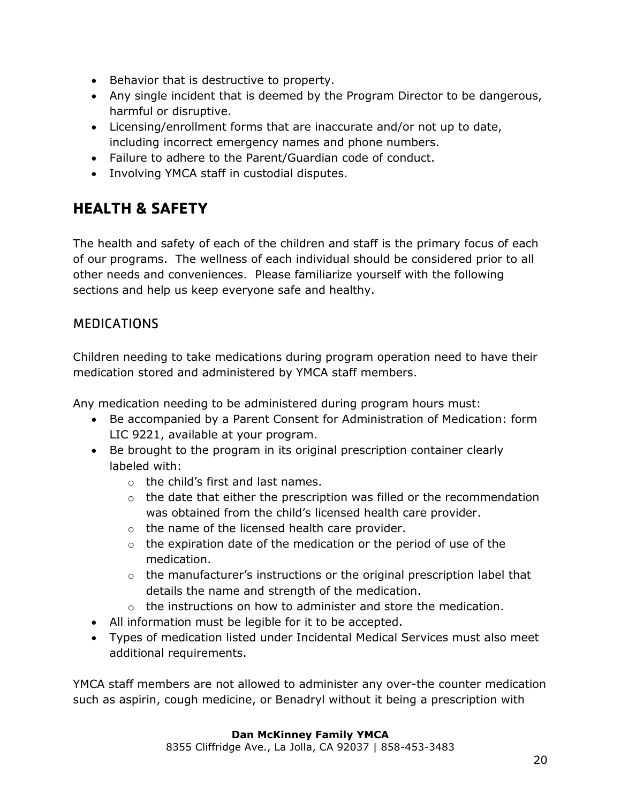- Behavior that is destructive to property.
- Any single incident that is deemed by the Program Director to be dangerous, harmful or disruptive.
- Licensing/enrollment forms that are inaccurate and/or not up to date, including incorrect emergency names and phone numbers.
- Failure to adhere to the Parent/Guardian code of conduct.
- Involving YMCA staff in custodial disputes.

# <span id="page-20-0"></span>**HEALTH & SAFETY**

The health and safety of each of the children and staff is the primary focus of each of our programs. The wellness of each individual should be considered prior to all other needs and conveniences. Please familiarize yourself with the following sections and help us keep everyone safe and healthy.

#### <span id="page-20-1"></span>**MEDICATIONS**

Children needing to take medications during program operation need to have their medication stored and administered by YMCA staff members.

Any medication needing to be administered during program hours must:

- Be accompanied by a Parent Consent for Administration of Medication: form LIC 9221, available at your program.
- Be brought to the program in its original prescription container clearly labeled with:
	- o the child's first and last names.
	- $\circ$  the date that either the prescription was filled or the recommendation was obtained from the child's licensed health care provider.
	- o the name of the licensed health care provider.
	- $\circ$  the expiration date of the medication or the period of use of the medication.
	- $\circ$  the manufacturer's instructions or the original prescription label that details the name and strength of the medication.
	- $\circ$  the instructions on how to administer and store the medication.
- All information must be legible for it to be accepted.
- Types of medication listed under Incidental Medical Services must also meet additional requirements.

YMCA staff members are not allowed to administer any over-the counter medication such as aspirin, cough medicine, or Benadryl without it being a prescription with

#### **Dan McKinney Family YMCA**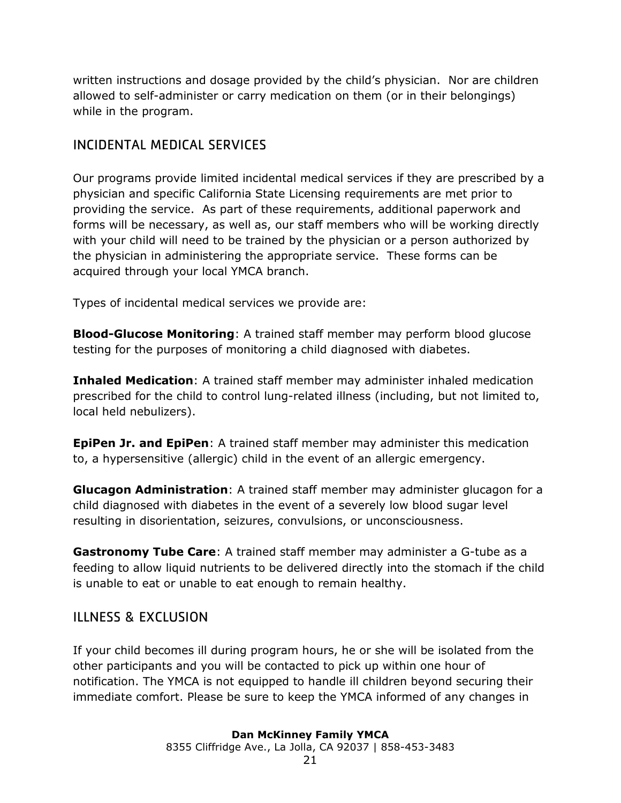written instructions and dosage provided by the child's physician. Nor are children allowed to self-administer or carry medication on them (or in their belongings) while in the program.

#### <span id="page-21-0"></span>INCIDENTAL MEDICAL SERVICES

Our programs provide limited incidental medical services if they are prescribed by a physician and specific California State Licensing requirements are met prior to providing the service. As part of these requirements, additional paperwork and forms will be necessary, as well as, our staff members who will be working directly with your child will need to be trained by the physician or a person authorized by the physician in administering the appropriate service. These forms can be acquired through your local YMCA branch.

Types of incidental medical services we provide are:

**Blood-Glucose Monitoring**: A trained staff member may perform blood glucose testing for the purposes of monitoring a child diagnosed with diabetes.

**Inhaled Medication**: A trained staff member may administer inhaled medication prescribed for the child to control lung-related illness (including, but not limited to, local held nebulizers).

**EpiPen Jr. and EpiPen**: A trained staff member may administer this medication to, a hypersensitive (allergic) child in the event of an allergic emergency.

**Glucagon Administration**: A trained staff member may administer glucagon for a child diagnosed with diabetes in the event of a severely low blood sugar level resulting in disorientation, seizures, convulsions, or unconsciousness.

**Gastronomy Tube Care**: A trained staff member may administer a G-tube as a feeding to allow liquid nutrients to be delivered directly into the stomach if the child is unable to eat or unable to eat enough to remain healthy.

#### <span id="page-21-1"></span>ILLNESS & EXCLUSION

If your child becomes ill during program hours, he or she will be isolated from the other participants and you will be contacted to pick up within one hour of notification. The YMCA is not equipped to handle ill children beyond securing their immediate comfort. Please be sure to keep the YMCA informed of any changes in

#### **Dan McKinney Family YMCA**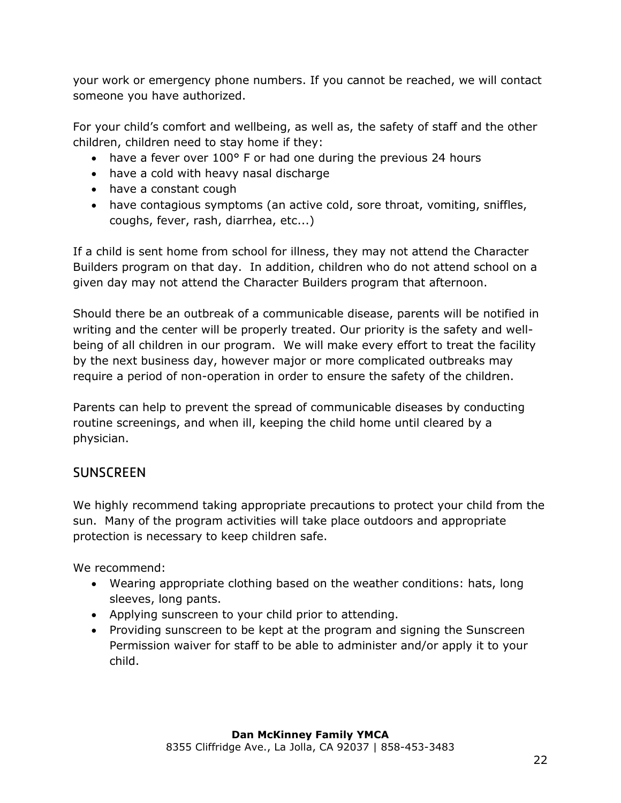your work or emergency phone numbers. If you cannot be reached, we will contact someone you have authorized.

For your child's comfort and wellbeing, as well as, the safety of staff and the other children, children need to stay home if they:

- have a fever over 100° F or had one during the previous 24 hours
- have a cold with heavy nasal discharge
- have a constant cough
- have contagious symptoms (an active cold, sore throat, vomiting, sniffles, coughs, fever, rash, diarrhea, etc...)

If a child is sent home from school for illness, they may not attend the Character Builders program on that day. In addition, children who do not attend school on a given day may not attend the Character Builders program that afternoon.

Should there be an outbreak of a communicable disease, parents will be notified in writing and the center will be properly treated. Our priority is the safety and wellbeing of all children in our program. We will make every effort to treat the facility by the next business day, however major or more complicated outbreaks may require a period of non-operation in order to ensure the safety of the children.

Parents can help to prevent the spread of communicable diseases by conducting routine screenings, and when ill, keeping the child home until cleared by a physician.

## <span id="page-22-0"></span>**SUNSCREEN**

We highly recommend taking appropriate precautions to protect your child from the sun. Many of the program activities will take place outdoors and appropriate protection is necessary to keep children safe.

We recommend:

- Wearing appropriate clothing based on the weather conditions: hats, long sleeves, long pants.
- Applying sunscreen to your child prior to attending.
- Providing sunscreen to be kept at the program and signing the Sunscreen Permission waiver for staff to be able to administer and/or apply it to your child.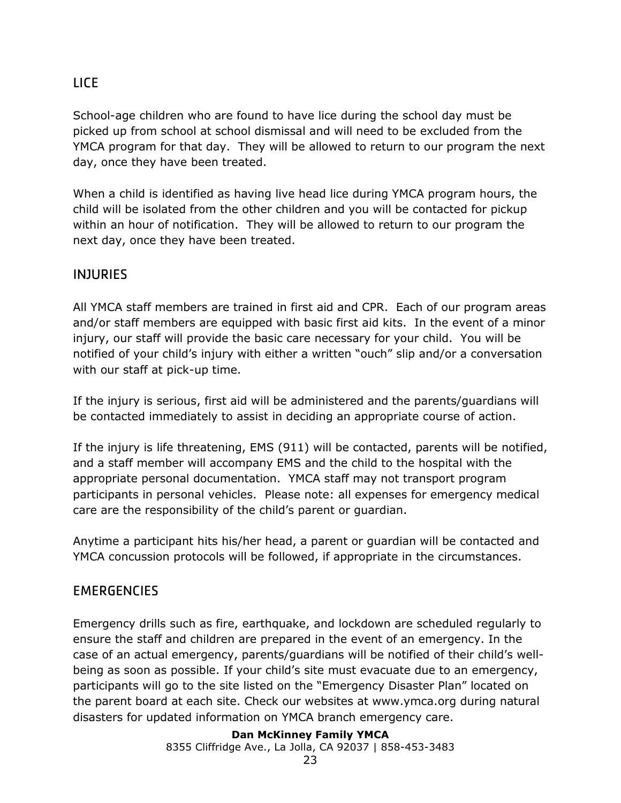## <span id="page-23-0"></span>LICE

School-age children who are found to have lice during the school day must be picked up from school at school dismissal and will need to be excluded from the YMCA program for that day. They will be allowed to return to our program the next day, once they have been treated.

When a child is identified as having live head lice during YMCA program hours, the child will be isolated from the other children and you will be contacted for pickup within an hour of notification. They will be allowed to return to our program the next day, once they have been treated.

#### <span id="page-23-1"></span>INJURIES

All YMCA staff members are trained in first aid and CPR. Each of our program areas and/or staff members are equipped with basic first aid kits. In the event of a minor injury, our staff will provide the basic care necessary for your child. You will be notified of your child's injury with either a written "ouch" slip and/or a conversation with our staff at pick-up time.

If the injury is serious, first aid will be administered and the parents/guardians will be contacted immediately to assist in deciding an appropriate course of action.

If the injury is life threatening, EMS (911) will be contacted, parents will be notified, and a staff member will accompany EMS and the child to the hospital with the appropriate personal documentation. YMCA staff may not transport program participants in personal vehicles. Please note: all expenses for emergency medical care are the responsibility of the child's parent or guardian.

Anytime a participant hits his/her head, a parent or guardian will be contacted and YMCA concussion protocols will be followed, if appropriate in the circumstances.

#### <span id="page-23-2"></span>**EMERGENCIES**

Emergency drills such as fire, earthquake, and lockdown are scheduled regularly to ensure the staff and children are prepared in the event of an emergency. In the case of an actual emergency, parents/guardians will be notified of their child's wellbeing as soon as possible. If your child's site must evacuate due to an emergency, participants will go to the site listed on the "Emergency Disaster Plan" located on the parent board at each site. Check our websites at www.ymca.org during natural disasters for updated information on YMCA branch emergency care.

#### **Dan McKinney Family YMCA**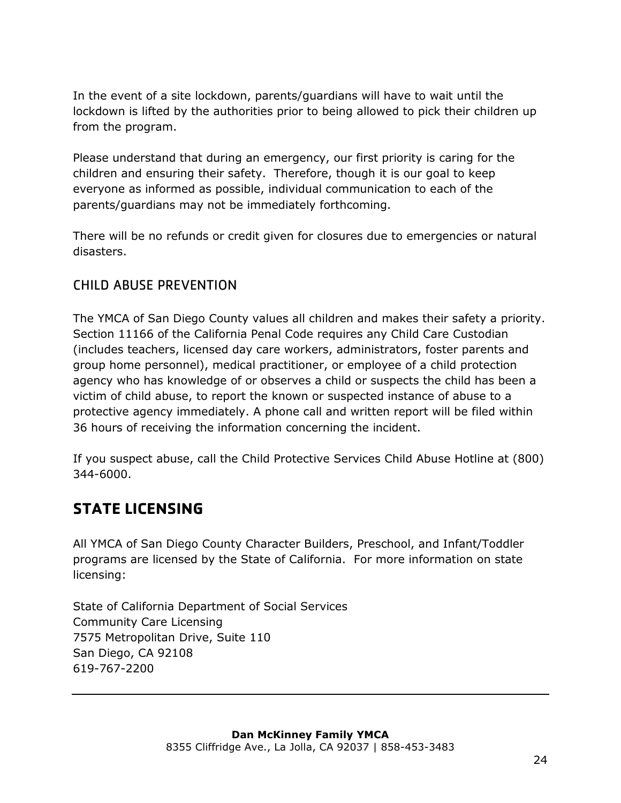In the event of a site lockdown, parents/guardians will have to wait until the lockdown is lifted by the authorities prior to being allowed to pick their children up from the program.

Please understand that during an emergency, our first priority is caring for the children and ensuring their safety. Therefore, though it is our goal to keep everyone as informed as possible, individual communication to each of the parents/guardians may not be immediately forthcoming.

There will be no refunds or credit given for closures due to emergencies or natural disasters.

## <span id="page-24-0"></span>CHILD ABUSE PREVENTION

The YMCA of San Diego County values all children and makes their safety a priority. Section 11166 of the California Penal Code requires any Child Care Custodian (includes teachers, licensed day care workers, administrators, foster parents and group home personnel), medical practitioner, or employee of a child protection agency who has knowledge of or observes a child or suspects the child has been a victim of child abuse, to report the known or suspected instance of abuse to a protective agency immediately. A phone call and written report will be filed within 36 hours of receiving the information concerning the incident.

If you suspect abuse, call the Child Protective Services Child Abuse Hotline at (800) 344-6000.

## <span id="page-24-1"></span>**STATE LICENSING**

All YMCA of San Diego County Character Builders, Preschool, and Infant/Toddler programs are licensed by the State of California. For more information on state licensing:

State of California Department of Social Services Community Care Licensing 7575 Metropolitan Drive, Suite 110 San Diego, CA 92108 619-767-2200